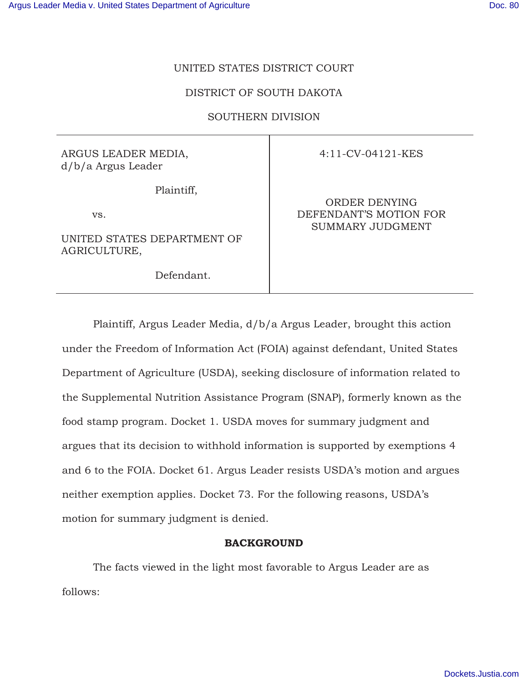# UNITED STATES DISTRICT COURT

# DISTRICT OF SOUTH DAKOTA

# SOUTHERN DIVISION

ARGUS LEADER MEDIA, d/b/a Argus Leader

Plaintiff,

vs.

UNITED STATES DEPARTMENT OF AGRICULTURE,

Defendant.

4:11-CV-04121-KES

ORDER DENYING DEFENDANT'S MOTION FOR SUMMARY JUDGMENT

Plaintiff, Argus Leader Media, d/b/a Argus Leader, brought this action under the Freedom of Information Act (FOIA) against defendant, United States Department of Agriculture (USDA), seeking disclosure of information related to the Supplemental Nutrition Assistance Program (SNAP), formerly known as the food stamp program. Docket 1. USDA moves for summary judgment and argues that its decision to withhold information is supported by exemptions 4 and 6 to the FOIA. Docket 61. Argus Leader resists USDA's motion and argues neither exemption applies. Docket 73. For the following reasons, USDA's motion for summary judgment is denied.

### **BACKGROUND**

The facts viewed in the light most favorable to Argus Leader are as follows: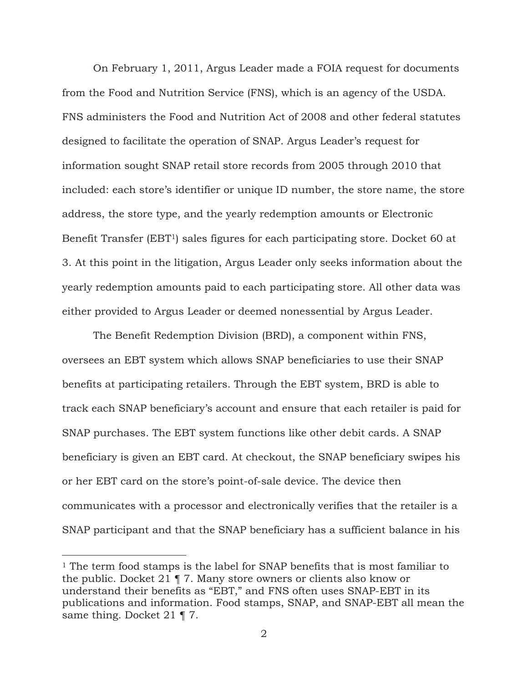On February 1, 2011, Argus Leader made a FOIA request for documents from the Food and Nutrition Service (FNS), which is an agency of the USDA. FNS administers the Food and Nutrition Act of 2008 and other federal statutes designed to facilitate the operation of SNAP. Argus Leader's request for information sought SNAP retail store records from 2005 through 2010 that included: each store's identifier or unique ID number, the store name, the store address, the store type, and the yearly redemption amounts or Electronic Benefit Transfer (EBT1) sales figures for each participating store. Docket 60 at 3. At this point in the litigation, Argus Leader only seeks information about the yearly redemption amounts paid to each participating store. All other data was either provided to Argus Leader or deemed nonessential by Argus Leader.

The Benefit Redemption Division (BRD), a component within FNS, oversees an EBT system which allows SNAP beneficiaries to use their SNAP benefits at participating retailers. Through the EBT system, BRD is able to track each SNAP beneficiary's account and ensure that each retailer is paid for SNAP purchases. The EBT system functions like other debit cards. A SNAP beneficiary is given an EBT card. At checkout, the SNAP beneficiary swipes his or her EBT card on the store's point-of-sale device. The device then communicates with a processor and electronically verifies that the retailer is a SNAP participant and that the SNAP beneficiary has a sufficient balance in his

 $\overline{a}$ 

<sup>&</sup>lt;sup>1</sup> The term food stamps is the label for SNAP benefits that is most familiar to the public. Docket 21 ¶ 7. Many store owners or clients also know or understand their benefits as "EBT," and FNS often uses SNAP-EBT in its publications and information. Food stamps, SNAP, and SNAP-EBT all mean the same thing. Docket 21 ¶ 7.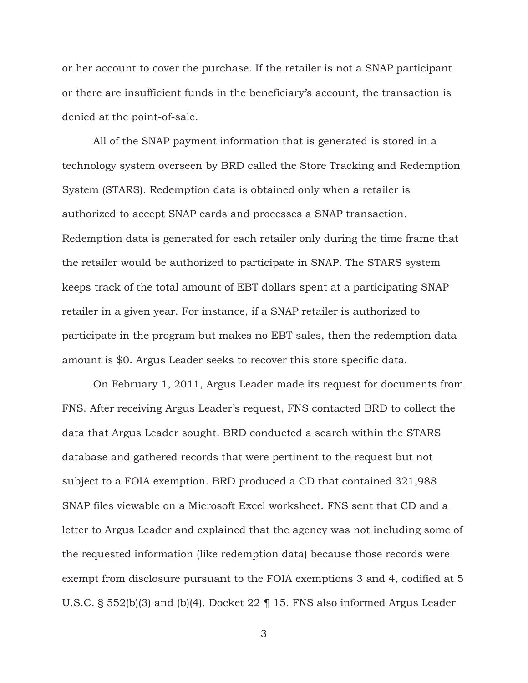or her account to cover the purchase. If the retailer is not a SNAP participant or there are insufficient funds in the beneficiary's account, the transaction is denied at the point-of-sale.

All of the SNAP payment information that is generated is stored in a technology system overseen by BRD called the Store Tracking and Redemption System (STARS). Redemption data is obtained only when a retailer is authorized to accept SNAP cards and processes a SNAP transaction. Redemption data is generated for each retailer only during the time frame that the retailer would be authorized to participate in SNAP. The STARS system keeps track of the total amount of EBT dollars spent at a participating SNAP retailer in a given year. For instance, if a SNAP retailer is authorized to participate in the program but makes no EBT sales, then the redemption data amount is \$0. Argus Leader seeks to recover this store specific data.

On February 1, 2011, Argus Leader made its request for documents from FNS. After receiving Argus Leader's request, FNS contacted BRD to collect the data that Argus Leader sought. BRD conducted a search within the STARS database and gathered records that were pertinent to the request but not subject to a FOIA exemption. BRD produced a CD that contained 321,988 SNAP files viewable on a Microsoft Excel worksheet. FNS sent that CD and a letter to Argus Leader and explained that the agency was not including some of the requested information (like redemption data) because those records were exempt from disclosure pursuant to the FOIA exemptions 3 and 4, codified at 5 U.S.C. § 552(b)(3) and (b)(4). Docket 22 ¶ 15. FNS also informed Argus Leader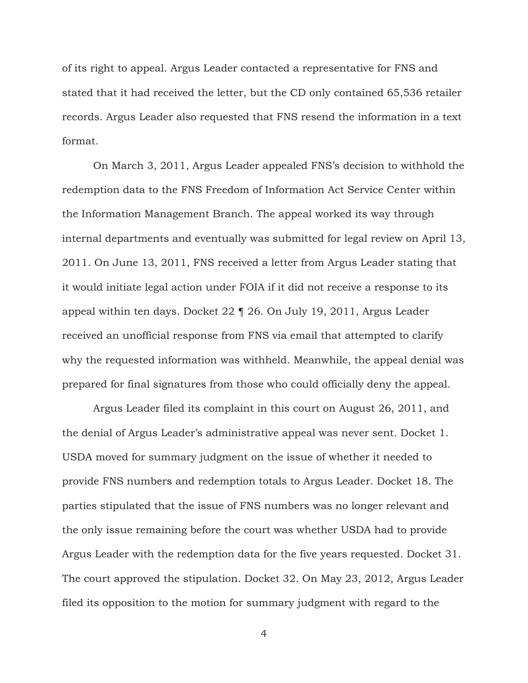of its right to appeal. Argus Leader contacted a representative for FNS and stated that it had received the letter, but the CD only contained 65,536 retailer records. Argus Leader also requested that FNS resend the information in a text format.

On March 3, 2011, Argus Leader appealed FNS's decision to withhold the redemption data to the FNS Freedom of Information Act Service Center within the Information Management Branch. The appeal worked its way through internal departments and eventually was submitted for legal review on April 13, 2011. On June 13, 2011, FNS received a letter from Argus Leader stating that it would initiate legal action under FOIA if it did not receive a response to its appeal within ten days. Docket 22 ¶ 26. On July 19, 2011, Argus Leader received an unofficial response from FNS via email that attempted to clarify why the requested information was withheld. Meanwhile, the appeal denial was prepared for final signatures from those who could officially deny the appeal.

Argus Leader filed its complaint in this court on August 26, 2011, and the denial of Argus Leader's administrative appeal was never sent. Docket 1. USDA moved for summary judgment on the issue of whether it needed to provide FNS numbers and redemption totals to Argus Leader. Docket 18. The parties stipulated that the issue of FNS numbers was no longer relevant and the only issue remaining before the court was whether USDA had to provide Argus Leader with the redemption data for the five years requested. Docket 31. The court approved the stipulation. Docket 32. On May 23, 2012, Argus Leader filed its opposition to the motion for summary judgment with regard to the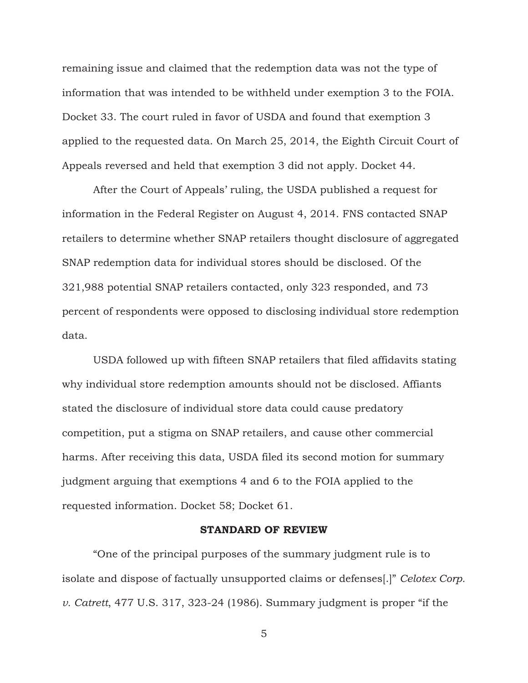remaining issue and claimed that the redemption data was not the type of information that was intended to be withheld under exemption 3 to the FOIA. Docket 33. The court ruled in favor of USDA and found that exemption 3 applied to the requested data. On March 25, 2014, the Eighth Circuit Court of Appeals reversed and held that exemption 3 did not apply. Docket 44.

After the Court of Appeals' ruling, the USDA published a request for information in the Federal Register on August 4, 2014. FNS contacted SNAP retailers to determine whether SNAP retailers thought disclosure of aggregated SNAP redemption data for individual stores should be disclosed. Of the 321,988 potential SNAP retailers contacted, only 323 responded, and 73 percent of respondents were opposed to disclosing individual store redemption data.

USDA followed up with fifteen SNAP retailers that filed affidavits stating why individual store redemption amounts should not be disclosed. Affiants stated the disclosure of individual store data could cause predatory competition, put a stigma on SNAP retailers, and cause other commercial harms. After receiving this data, USDA filed its second motion for summary judgment arguing that exemptions 4 and 6 to the FOIA applied to the requested information. Docket 58; Docket 61.

### **STANDARD OF REVIEW**

 "One of the principal purposes of the summary judgment rule is to isolate and dispose of factually unsupported claims or defenses[.]" *Celotex Corp. v. Catrett*, 477 U.S. 317, 323-24 (1986). Summary judgment is proper "if the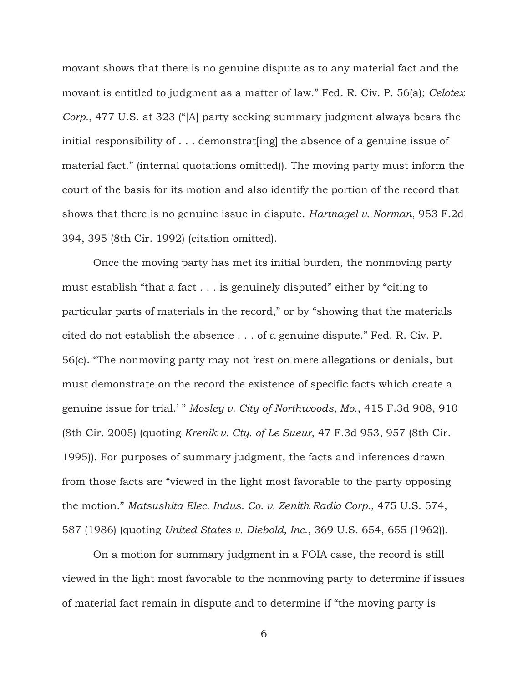movant shows that there is no genuine dispute as to any material fact and the movant is entitled to judgment as a matter of law." Fed. R. Civ. P. 56(a); *Celotex Corp.*, 477 U.S. at 323 ("[A] party seeking summary judgment always bears the initial responsibility of . . . demonstrat [ing] the absence of a genuine issue of material fact." (internal quotations omitted)). The moving party must inform the court of the basis for its motion and also identify the portion of the record that shows that there is no genuine issue in dispute. *Hartnagel v. Norman*, 953 F.2d 394, 395 (8th Cir. 1992) (citation omitted).

 Once the moving party has met its initial burden, the nonmoving party must establish "that a fact . . . is genuinely disputed" either by "citing to particular parts of materials in the record," or by "showing that the materials cited do not establish the absence . . . of a genuine dispute." Fed. R. Civ. P. 56(c). "The nonmoving party may not 'rest on mere allegations or denials, but must demonstrate on the record the existence of specific facts which create a genuine issue for trial.' " *Mosley v. City of Northwoods, Mo.*, 415 F.3d 908, 910 (8th Cir. 2005) (quoting *Krenik v. Cty. of Le Sueur*, 47 F.3d 953, 957 (8th Cir. 1995)). For purposes of summary judgment, the facts and inferences drawn from those facts are "viewed in the light most favorable to the party opposing the motion." *Matsushita Elec. Indus. Co. v. Zenith Radio Corp.*, 475 U.S. 574, 587 (1986) (quoting *United States v. Diebold, Inc.*, 369 U.S. 654, 655 (1962)).

 On a motion for summary judgment in a FOIA case, the record is still viewed in the light most favorable to the nonmoving party to determine if issues of material fact remain in dispute and to determine if "the moving party is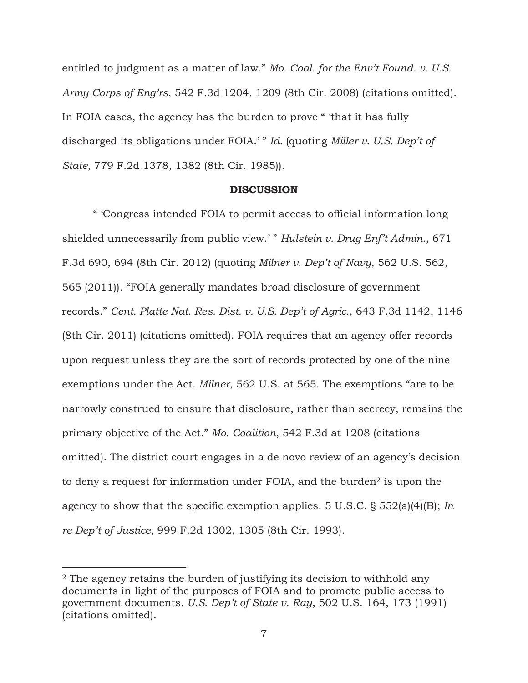entitled to judgment as a matter of law." *Mo. Coal. for the Env't Found. v. U.S. Army Corps of Eng'rs*, 542 F.3d 1204, 1209 (8th Cir. 2008) (citations omitted). In FOIA cases, the agency has the burden to prove " 'that it has fully discharged its obligations under FOIA.' " *Id.* (quoting *Miller v. U.S. Dep't of State*, 779 F.2d 1378, 1382 (8th Cir. 1985)).

#### **DISCUSSION**

" 'Congress intended FOIA to permit access to official information long shielded unnecessarily from public view.' " *Hulstein v. Drug Enf't Admin.*, 671 F.3d 690, 694 (8th Cir. 2012) (quoting *Milner v. Dep't of Navy*, 562 U.S. 562, 565 (2011)). "FOIA generally mandates broad disclosure of government records." *Cent. Platte Nat. Res. Dist. v. U.S. Dep't of Agric.*, 643 F.3d 1142, 1146 (8th Cir. 2011) (citations omitted). FOIA requires that an agency offer records upon request unless they are the sort of records protected by one of the nine exemptions under the Act. *Milner*, 562 U.S. at 565. The exemptions "are to be narrowly construed to ensure that disclosure, rather than secrecy, remains the primary objective of the Act." *Mo. Coalition*, 542 F.3d at 1208 (citations omitted). The district court engages in a de novo review of an agency's decision to deny a request for information under FOIA, and the burden<sup>2</sup> is upon the agency to show that the specific exemption applies. 5 U.S.C. § 552(a)(4)(B); *In re Dep't of Justice*, 999 F.2d 1302, 1305 (8th Cir. 1993).

 $\overline{a}$ 

<sup>2</sup> The agency retains the burden of justifying its decision to withhold any documents in light of the purposes of FOIA and to promote public access to government documents. *U.S. Dep't of State v. Ray*, 502 U.S. 164, 173 (1991) (citations omitted).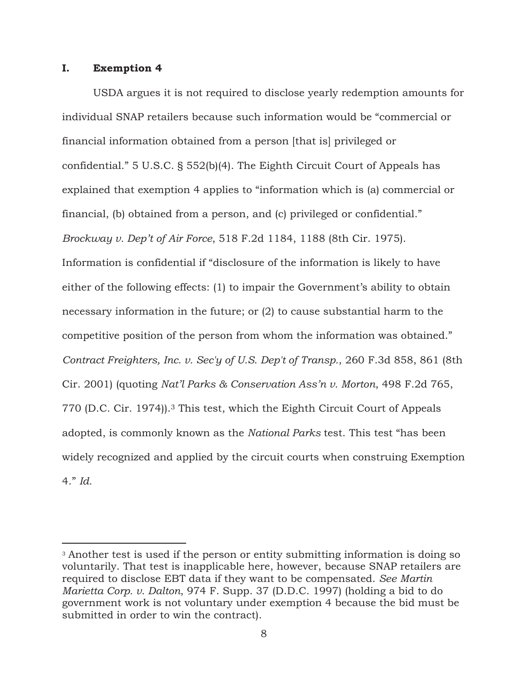### **I. Exemption 4**

 $\overline{a}$ 

USDA argues it is not required to disclose yearly redemption amounts for individual SNAP retailers because such information would be "commercial or financial information obtained from a person [that is] privileged or confidential." 5 U.S.C. § 552(b)(4). The Eighth Circuit Court of Appeals has explained that exemption 4 applies to "information which is (a) commercial or financial, (b) obtained from a person, and (c) privileged or confidential." *Brockway v. Dep't of Air Force*, 518 F.2d 1184, 1188 (8th Cir. 1975). Information is confidential if "disclosure of the information is likely to have either of the following effects: (1) to impair the Government's ability to obtain necessary information in the future; or (2) to cause substantial harm to the competitive position of the person from whom the information was obtained." *Contract Freighters, Inc. v. Sec'y of U.S. Dep't of Transp.*, 260 F.3d 858, 861 (8th Cir. 2001) (quoting *Nat'l Parks & Conservation Ass'n v. Morton*, 498 F.2d 765, 770 (D.C. Cir. 1974)).3 This test, which the Eighth Circuit Court of Appeals adopted, is commonly known as the *National Parks* test. This test "has been widely recognized and applied by the circuit courts when construing Exemption 4." *Id.*

<sup>&</sup>lt;sup>3</sup> Another test is used if the person or entity submitting information is doing so voluntarily. That test is inapplicable here, however, because SNAP retailers are required to disclose EBT data if they want to be compensated. *See Martin Marietta Corp. v. Dalton*, 974 F. Supp. 37 (D.D.C. 1997) (holding a bid to do government work is not voluntary under exemption 4 because the bid must be submitted in order to win the contract).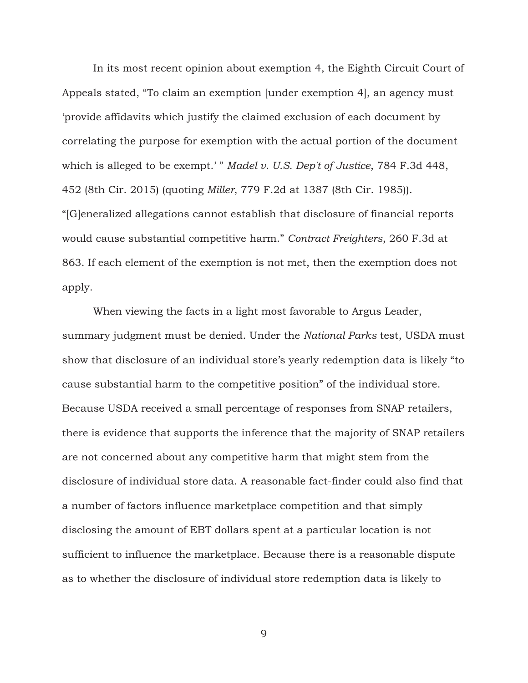In its most recent opinion about exemption 4, the Eighth Circuit Court of Appeals stated, "To claim an exemption [under exemption 4], an agency must 'provide affidavits which justify the claimed exclusion of each document by correlating the purpose for exemption with the actual portion of the document which is alleged to be exempt.'" *Madel v. U.S. Dep't of Justice*, 784 F.3d 448, 452 (8th Cir. 2015) (quoting *Miller*, 779 F.2d at 1387 (8th Cir. 1985)). "[G]eneralized allegations cannot establish that disclosure of financial reports would cause substantial competitive harm." *Contract Freighters*, 260 F.3d at 863. If each element of the exemption is not met, then the exemption does not apply.

When viewing the facts in a light most favorable to Argus Leader, summary judgment must be denied. Under the *National Parks* test, USDA must show that disclosure of an individual store's yearly redemption data is likely "to cause substantial harm to the competitive position" of the individual store. Because USDA received a small percentage of responses from SNAP retailers, there is evidence that supports the inference that the majority of SNAP retailers are not concerned about any competitive harm that might stem from the disclosure of individual store data. A reasonable fact-finder could also find that a number of factors influence marketplace competition and that simply disclosing the amount of EBT dollars spent at a particular location is not sufficient to influence the marketplace. Because there is a reasonable dispute as to whether the disclosure of individual store redemption data is likely to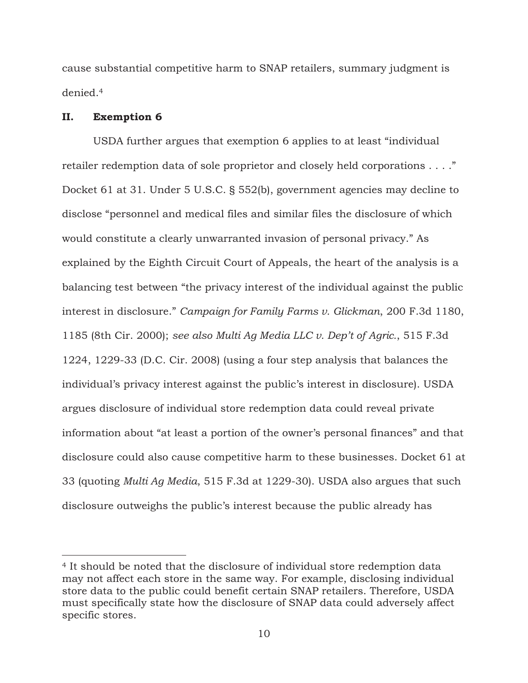cause substantial competitive harm to SNAP retailers, summary judgment is denied.<sup>4</sup>

### **II. Exemption 6**

 $\overline{a}$ 

USDA further argues that exemption 6 applies to at least "individual retailer redemption data of sole proprietor and closely held corporations . . . ." Docket 61 at 31. Under 5 U.S.C. § 552(b), government agencies may decline to disclose "personnel and medical files and similar files the disclosure of which would constitute a clearly unwarranted invasion of personal privacy." As explained by the Eighth Circuit Court of Appeals, the heart of the analysis is a balancing test between "the privacy interest of the individual against the public interest in disclosure." *Campaign for Family Farms v. Glickman*, 200 F.3d 1180, 1185 (8th Cir. 2000); *see also Multi Ag Media LLC v. Dep't of Agric.*, 515 F.3d 1224, 1229-33 (D.C. Cir. 2008) (using a four step analysis that balances the individual's privacy interest against the public's interest in disclosure). USDA argues disclosure of individual store redemption data could reveal private information about "at least a portion of the owner's personal finances" and that disclosure could also cause competitive harm to these businesses. Docket 61 at 33 (quoting *Multi Ag Media*, 515 F.3d at 1229-30). USDA also argues that such disclosure outweighs the public's interest because the public already has

<sup>4</sup> It should be noted that the disclosure of individual store redemption data may not affect each store in the same way. For example, disclosing individual store data to the public could benefit certain SNAP retailers. Therefore, USDA must specifically state how the disclosure of SNAP data could adversely affect specific stores.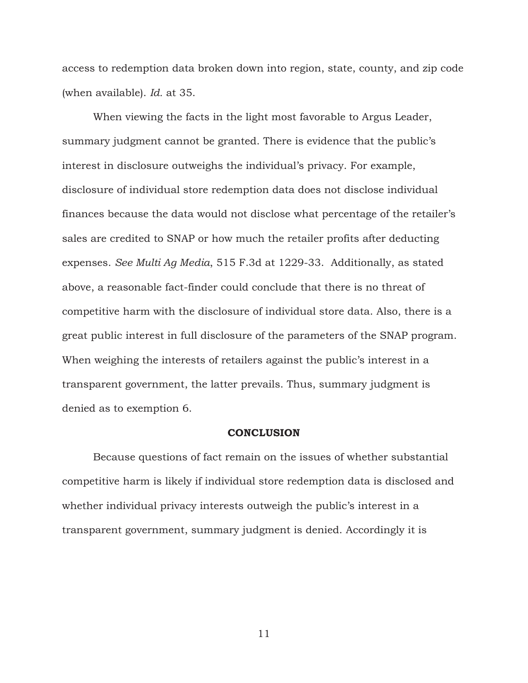access to redemption data broken down into region, state, county, and zip code (when available). *Id.* at 35.

When viewing the facts in the light most favorable to Argus Leader, summary judgment cannot be granted. There is evidence that the public's interest in disclosure outweighs the individual's privacy. For example, disclosure of individual store redemption data does not disclose individual finances because the data would not disclose what percentage of the retailer's sales are credited to SNAP or how much the retailer profits after deducting expenses. *See Multi Ag Media*, 515 F.3d at 1229-33. Additionally, as stated above, a reasonable fact-finder could conclude that there is no threat of competitive harm with the disclosure of individual store data. Also, there is a great public interest in full disclosure of the parameters of the SNAP program. When weighing the interests of retailers against the public's interest in a transparent government, the latter prevails. Thus, summary judgment is denied as to exemption 6.

#### **CONCLUSION**

 Because questions of fact remain on the issues of whether substantial competitive harm is likely if individual store redemption data is disclosed and whether individual privacy interests outweigh the public's interest in a transparent government, summary judgment is denied. Accordingly it is